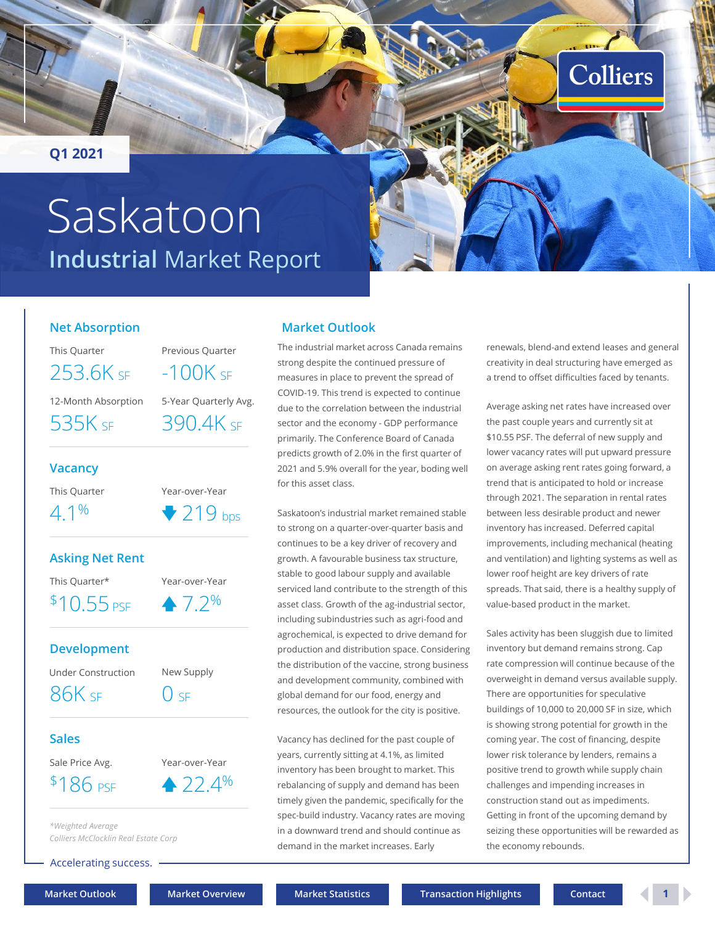<span id="page-0-0"></span>**Q1 2021**

# **Industrial** Market Report Saskatoon



#### **Net Absorption**

This Quarter Previous Quarter

12-Month Absorption 5-Year Quarterly Avg.  $253.6K$  SE  $-100K$  SE

535K sf 390.4K sf

#### **Vacancy**

This Quarter Year-over-Year  $4.1\%$   $219_{\text{bps}}$ 

#### **Asking Net Rent**

This Quarter\* Year-over-Year

 $$10.55$  psf  $$7.2\%$ 

#### **Development**

Under Construction New Supply

 $86K$  SF  $\qquad$   $0$  SF

#### **Sales**

Sale Price Avg. Year-over-Year

 $$186 \text{ pse} \qquad 22.4\%$ 

*\*Weighted Average Colliers McClocklin Real Estate Corp*

Accelerating success.

### **Market Outlook**

The industrial market across Canada remains strong despite the continued pressure of measures in place to prevent the spread of COVID-19. This trend is expected to continue due to the correlation between the industrial sector and the economy - GDP performance primarily. The Conference Board of Canada predicts growth of 2.0% in the first quarter of 2021 and 5.9% overall for the year, boding well for this asset class.

Saskatoon's industrial market remained stable to strong on a quarter-over-quarter basis and continues to be a key driver of recovery and growth. A favourable business tax structure, stable to good labour supply and available serviced land contribute to the strength of this asset class. Growth of the ag-industrial sector, including subindustries such as agri-food and agrochemical, is expected to drive demand for production and distribution space. Considering the distribution of the vaccine, strong business and development community, combined with global demand for our food, energy and resources, the outlook for the city is positive.

Vacancy has declined for the past couple of years, currently sitting at 4.1%, as limited inventory has been brought to market. This rebalancing of supply and demand has been timely given the pandemic, specifically for the spec-build industry. Vacancy rates are moving in a downward trend and should continue as demand in the market increases. Early

renewals, blend-and extend leases and general creativity in deal structuring have emerged as a trend to offset difficulties faced by tenants.

Average asking net rates have increased over the past couple years and currently sit at \$10.55 PSF. The deferral of new supply and lower vacancy rates will put upward pressure on average asking rent rates going forward, a trend that is anticipated to hold or increase through 2021. The separation in rental rates between less desirable product and newer inventory has increased. Deferred capital improvements, including mechanical (heating and ventilation) and lighting systems as well as lower roof height are key drivers of rate spreads. That said, there is a healthy supply of value-based product in the market.

Sales activity has been sluggish due to limited inventory but demand remains strong. Cap rate compression will continue because of the overweight in demand versus available supply. There are opportunities for speculative buildings of 10,000 to 20,000 SF in size, which is showing strong potential for growth in the coming year. The cost of financing, despite lower risk tolerance by lenders, remains a positive trend to growth while supply chain challenges and impending increases in construction stand out as impediments. Getting in front of the upcoming demand by seizing these opportunities will be rewarded as the economy rebounds.

**[Market Outlook](#page-0-0) [Market Overview](#page-1-0) [Market Statistics](#page-2-0) [Transaction Highlights](#page-2-0) [Contact](#page-3-0) 1**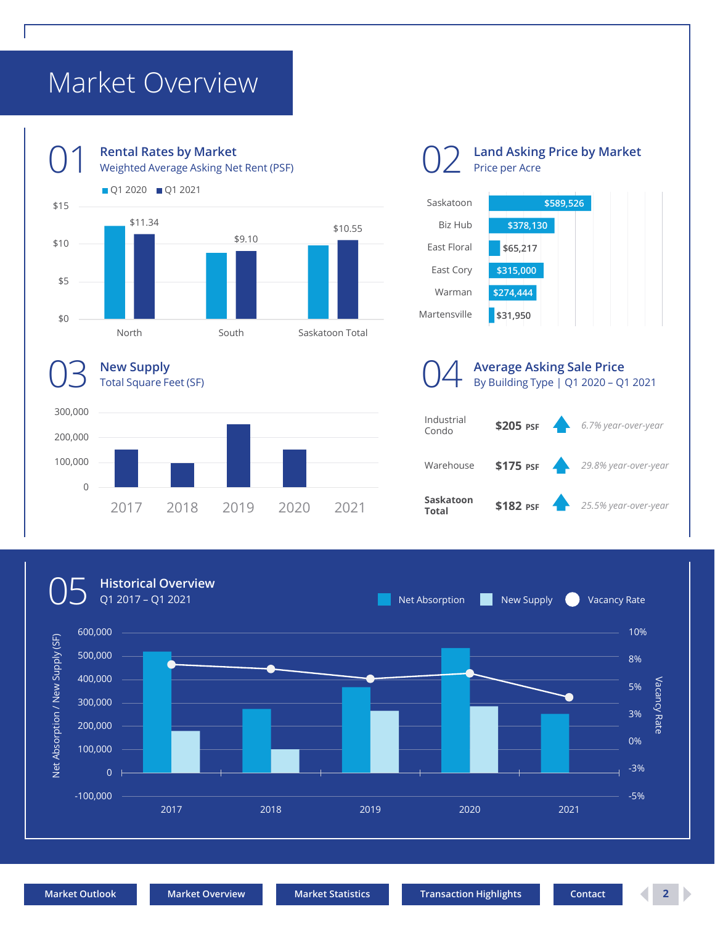## <span id="page-1-0"></span>Market Overview



2017 2018 2019 2020 2021



**\$589,526**

05

0

100,000

**Historical Overview**

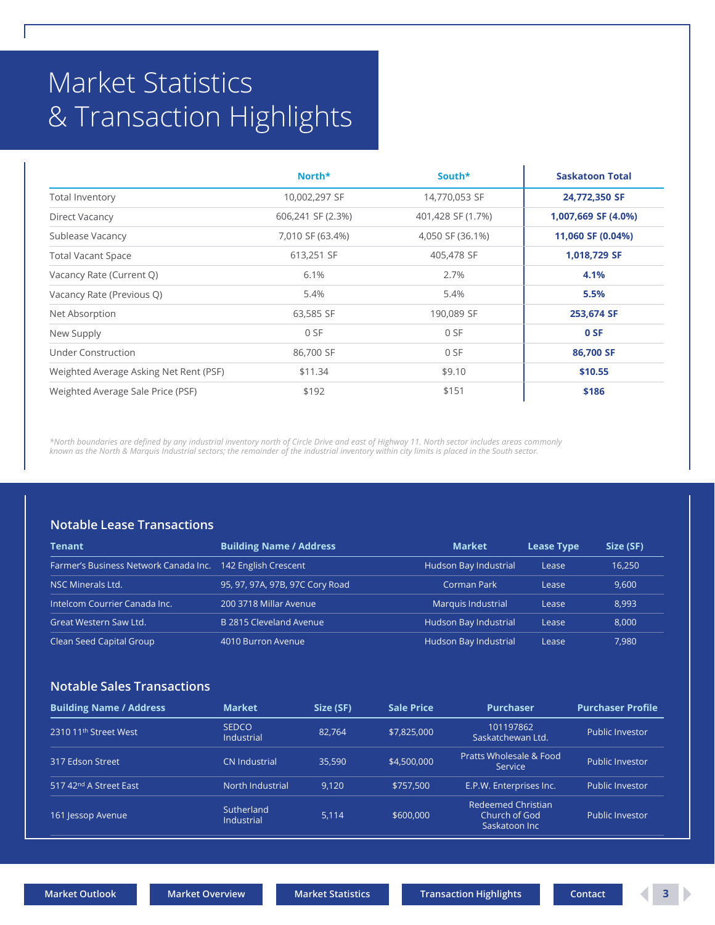## <span id="page-2-0"></span>Market Statistics & Transaction Highlights

|                                        | North*            | South*            | <b>Saskatoon Total</b> |
|----------------------------------------|-------------------|-------------------|------------------------|
| <b>Total Inventory</b>                 | 10,002,297 SF     | 14,770,053 SF     | 24,772,350 SF          |
| Direct Vacancy                         | 606,241 SF (2.3%) | 401,428 SF (1.7%) | 1,007,669 SF (4.0%)    |
| Sublease Vacancy                       | 7,010 SF (63.4%)  | 4,050 SF (36.1%)  | 11,060 SF (0.04%)      |
| <b>Total Vacant Space</b>              | 613,251 SF        | 405,478 SF        | 1,018,729 SF           |
| Vacancy Rate (Current Q)               | 6.1%              | 2.7%              | 4.1%                   |
| Vacancy Rate (Previous Q)              | 5.4%              | 5.4%              | 5.5%                   |
| Net Absorption                         | 63,585 SF         | 190,089 SF        | 253,674 SF             |
| New Supply                             | 0 SF              | 0 SF              | 0 SF                   |
| Under Construction                     | 86,700 SF         | 0 SF              | 86,700 SF              |
| Weighted Average Asking Net Rent (PSF) | \$11.34           | \$9.10            | \$10.55                |
| Weighted Average Sale Price (PSF)      | \$192             | \$151             | \$186                  |

*\*North boundaries are defined by any industrial inventory north of Circle Drive and east of Highway 11. North sector includes areas commonly known as the North & Marquis Industrial sectors; the remainder of the industrial inventory within city limits is placed in the South sector.*

#### **Notable Lease Transactions**

| Tenant                                | <b>Building Name / Address</b>  | <b>Market</b>             | <b>Lease Type</b> | Size (SF) |
|---------------------------------------|---------------------------------|---------------------------|-------------------|-----------|
| Farmer's Business Network Canada Inc. | 142 English Crescent            | Hudson Bay Industrial     | Lease             | 16,250    |
| <b>NSC Minerals Ltd.</b>              | 95, 97, 97A, 97B, 97C Cory Road | Corman Park               | Lease             | 9,600     |
| Intelcom Courrier Canada Inc.         | 200 3718 Millar Avenue          | <b>Marquis Industrial</b> | Lease             | 8,993     |
| Great Western Saw Ltd.                | B 2815 Cleveland Avenue         | Hudson Bay Industrial     | Lease             | 8,000     |
| Clean Seed Capital Group              | 4010 Burron Avenue              | Hudson Bay Industrial     | Lease             | 7,980     |

#### **Notable Sales Transactions**

| <b>Building Name / Address</b>     | <b>Market</b>              | Size (SF) | <b>Sale Price</b> | <b>Purchaser</b>                                     | <b>Purchaser Profile</b> |
|------------------------------------|----------------------------|-----------|-------------------|------------------------------------------------------|--------------------------|
| 2310 11 <sup>th</sup> Street West  | <b>SEDCO</b><br>Industrial | 82.764    | \$7,825,000       | 101197862<br>Saskatchewan Ltd.                       | <b>Public Investor</b>   |
| 317 Edson Street                   | <b>CN Industrial</b>       | 35,590    | \$4,500,000       | Pratts Wholesale & Food<br>Service                   | Public Investor          |
| 517 42 <sup>nd</sup> A Street East | North Industrial           | 9.120     | \$757.500         | E.P.W. Enterprises Inc.                              | <b>Public Investor</b>   |
| 161 Jessop Avenue                  | Sutherland<br>Industrial   | 5.114     | \$600,000         | Redeemed Christian<br>Church of God<br>Saskatoon Inc | <b>Public Investor</b>   |